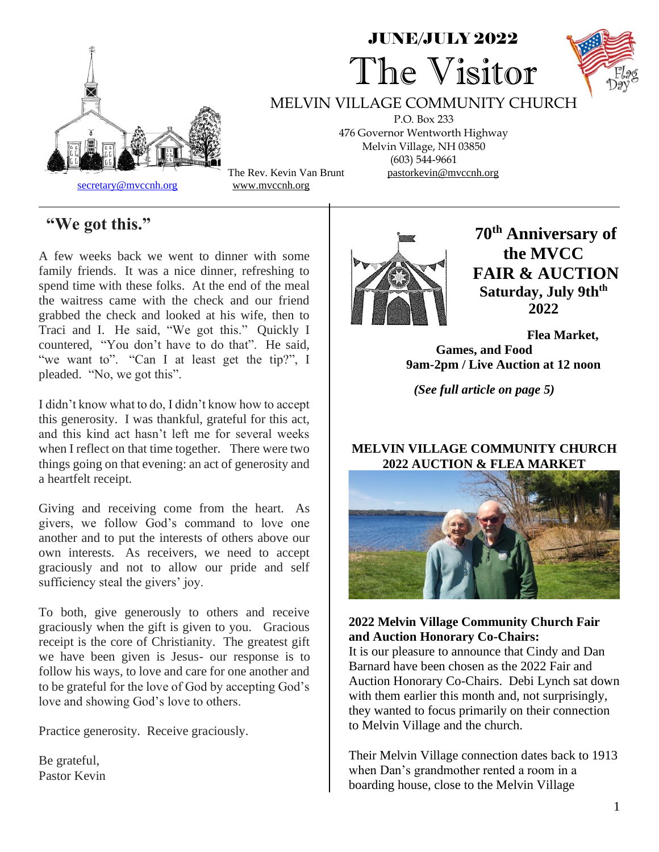

# JUNE/JULY 2022 The Visitor



MELVIN VILLAGE COMMUNITY CHURCH

P.O. Box 233 476 Governor Wentworth Highway Melvin Village, NH 03850 (603) 544-9661 The Rev. Kevin Van Brunt pastorkevin@mvccnh.org

# **"We got this."**

A few weeks back we went to dinner with some family friends. It was a nice dinner, refreshing to spend time with these folks. At the end of the meal the waitress came with the check and our friend grabbed the check and looked at his wife, then to Traci and I. He said, "We got this." Quickly I countered, "You don't have to do that". He said, "we want to". "Can I at least get the tip?", I pleaded. "No, we got this".

I didn't know what to do, I didn't know how to accept this generosity. I was thankful, grateful for this act, and this kind act hasn't left me for several weeks when I reflect on that time together. There were two things going on that evening: an act of generosity and a heartfelt receipt.

Giving and receiving come from the heart. As givers, we follow God's command to love one another and to put the interests of others above our own interests. As receivers, we need to accept graciously and not to allow our pride and self sufficiency steal the givers' joy.

To both, give generously to others and receive graciously when the gift is given to you. Gracious receipt is the core of Christianity. The greatest gift we have been given is Jesus- our response is to follow his ways, to love and care for one another and to be grateful for the love of God by accepting God's love and showing God's love to others.

Practice generosity. Receive graciously.

Be grateful, Pastor Kevin



**70th Anniversary of the MVCC FAIR & AUCTION Saturday, July 9thth 2022**

**Flea Market, Games, and Food 9am-2pm / Live Auction at 12 noon**

*(See full article on page 5)*

#### **MELVIN VILLAGE COMMUNITY CHURCH 2022 AUCTION & FLEA MARKET**



**2022 Melvin Village Community Church Fair and Auction Honorary Co-Chairs:**

It is our pleasure to announce that Cindy and Dan Barnard have been chosen as the 2022 Fair and Auction Honorary Co-Chairs. Debi Lynch sat down with them earlier this month and, not surprisingly, they wanted to focus primarily on their connection to Melvin Village and the church.

Their Melvin Village connection dates back to 1913 when Dan's grandmother rented a room in a boarding house, close to the Melvin Village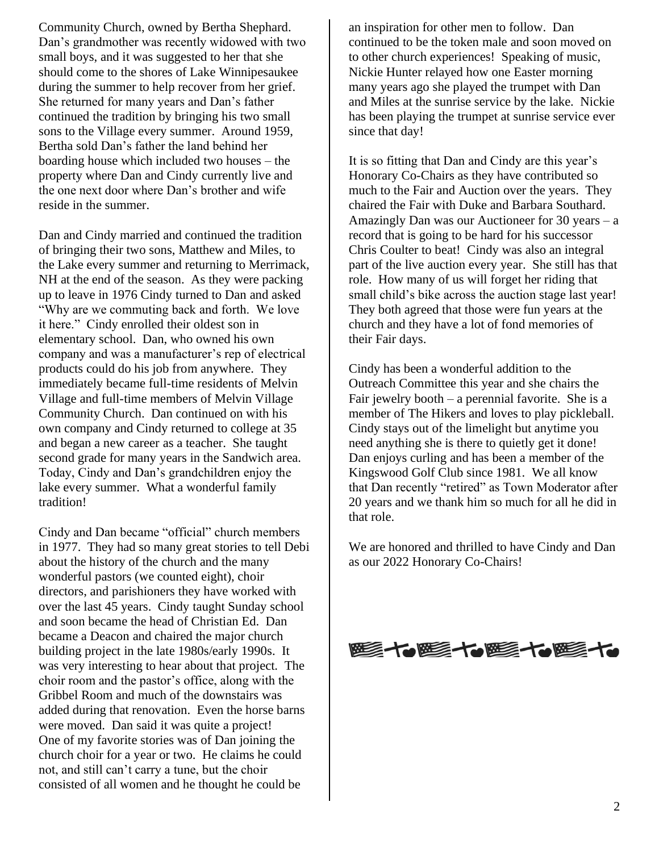Community Church, owned by Bertha Shephard. Dan's grandmother was recently widowed with two small boys, and it was suggested to her that she should come to the shores of Lake Winnipesaukee during the summer to help recover from her grief. She returned for many years and Dan's father continued the tradition by bringing his two small sons to the Village every summer. Around 1959, Bertha sold Dan's father the land behind her boarding house which included two houses – the property where Dan and Cindy currently live and the one next door where Dan's brother and wife reside in the summer.

Dan and Cindy married and continued the tradition of bringing their two sons, Matthew and Miles, to the Lake every summer and returning to Merrimack, NH at the end of the season. As they were packing up to leave in 1976 Cindy turned to Dan and asked "Why are we commuting back and forth. We love it here." Cindy enrolled their oldest son in elementary school. Dan, who owned his own company and was a manufacturer's rep of electrical products could do his job from anywhere. They immediately became full-time residents of Melvin Village and full-time members of Melvin Village Community Church. Dan continued on with his own company and Cindy returned to college at 35 and began a new career as a teacher. She taught second grade for many years in the Sandwich area. Today, Cindy and Dan's grandchildren enjoy the lake every summer. What a wonderful family tradition!

Cindy and Dan became "official" church members in 1977. They had so many great stories to tell Debi about the history of the church and the many wonderful pastors (we counted eight), choir directors, and parishioners they have worked with over the last 45 years. Cindy taught Sunday school and soon became the head of Christian Ed. Dan became a Deacon and chaired the major church building project in the late 1980s/early 1990s. It was very interesting to hear about that project. The choir room and the pastor's office, along with the Gribbel Room and much of the downstairs was added during that renovation. Even the horse barns were moved. Dan said it was quite a project! One of my favorite stories was of Dan joining the church choir for a year or two. He claims he could not, and still can't carry a tune, but the choir consisted of all women and he thought he could be

an inspiration for other men to follow. Dan continued to be the token male and soon moved on to other church experiences! Speaking of music, Nickie Hunter relayed how one Easter morning many years ago she played the trumpet with Dan and Miles at the sunrise service by the lake. Nickie has been playing the trumpet at sunrise service ever since that day!

It is so fitting that Dan and Cindy are this year's Honorary Co-Chairs as they have contributed so much to the Fair and Auction over the years. They chaired the Fair with Duke and Barbara Southard. Amazingly Dan was our Auctioneer for 30 years – a record that is going to be hard for his successor Chris Coulter to beat! Cindy was also an integral part of the live auction every year. She still has that role. How many of us will forget her riding that small child's bike across the auction stage last year! They both agreed that those were fun years at the church and they have a lot of fond memories of their Fair days.

Cindy has been a wonderful addition to the Outreach Committee this year and she chairs the Fair jewelry booth – a perennial favorite. She is a member of The Hikers and loves to play pickleball. Cindy stays out of the limelight but anytime you need anything she is there to quietly get it done! Dan enjoys curling and has been a member of the Kingswood Golf Club since 1981. We all know that Dan recently "retired" as Town Moderator after 20 years and we thank him so much for all he did in that role.

We are honored and thrilled to have Cindy and Dan as our 2022 Honorary Co-Chairs!

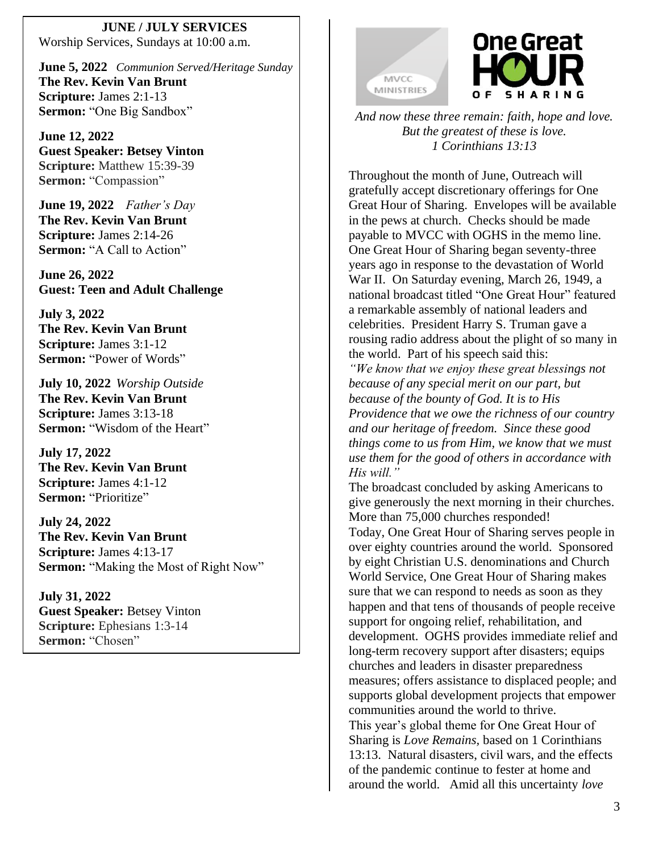**JUNE / JULY SERVICES** Worship Services, Sundays at 10:00 a.m.

**June 5, 2022** *Communion Served/Heritage Sunday* **The Rev. Kevin Van Brunt Scripture:** James 2:1-13 **Sermon:** "One Big Sandbox"

**June 12, 2022 Guest Speaker: Betsey Vinton Scripture:** Matthew 15:39-39 **Sermon:** "Compassion"

**June 19, 2022** *Father's Day* **The Rev. Kevin Van Brunt Scripture:** James 2:14-26 **Sermon:** "A Call to Action"

**June 26, 2022 Guest: Teen and Adult Challenge**

**July 3, 2022 The Rev. Kevin Van Brunt Scripture:** James 3:1-12 **Sermon:** "Power of Words"

**July 10, 2022** *Worship Outside* **The Rev. Kevin Van Brunt Scripture:** James 3:13-18 **Sermon:** "Wisdom of the Heart"

**July 17, 2022 The Rev. Kevin Van Brunt Scripture:** James 4:1-12 **Sermon:** "Prioritize"

**July 24, 2022 The Rev. Kevin Van Brunt Scripture:** James 4:13-17 **Sermon:** "Making the Most of Right Now"

**July 31, 2022 Guest Speaker:** Betsey Vinton **Scripture:** Ephesians 1:3-14 Sermon: "Chosen"





*And now these three remain: faith, hope and love. But the greatest of these is love. 1 Corinthians 13:13*

Throughout the month of June, Outreach will gratefully accept discretionary offerings for One Great Hour of Sharing. Envelopes will be available in the pews at church. Checks should be made payable to MVCC with OGHS in the memo line. One Great Hour of Sharing began seventy-three years ago in response to the devastation of World War II. On Saturday evening, March 26, 1949, a national broadcast titled "One Great Hour" featured a remarkable assembly of national leaders and celebrities. President Harry S. Truman gave a rousing radio address about the plight of so many in the world. Part of his speech said this:

*"We know that we enjoy these great blessings not because of any special merit on our part, but because of the bounty of God. It is to His Providence that we owe the richness of our country and our heritage of freedom. Since these good things come to us from Him, we know that we must use them for the good of others in accordance with His will."*

The broadcast concluded by asking Americans to give generously the next morning in their churches. More than 75,000 churches responded! Today, One Great Hour of Sharing serves people in over eighty countries around the world. Sponsored by eight Christian U.S. denominations and Church World Service, One Great Hour of Sharing makes sure that we can respond to needs as soon as they happen and that tens of thousands of people receive support for ongoing relief, rehabilitation, and development. OGHS provides immediate relief and long-term recovery support after disasters; equips churches and leaders in disaster preparedness measures; offers assistance to displaced people; and supports global development projects that empower communities around the world to thrive. This year's global theme for One Great Hour of Sharing is *Love Remains,* based on 1 Corinthians 13:13. Natural disasters, civil wars, and the effects of the pandemic continue to fester at home and around the world. Amid all this uncertainty *love*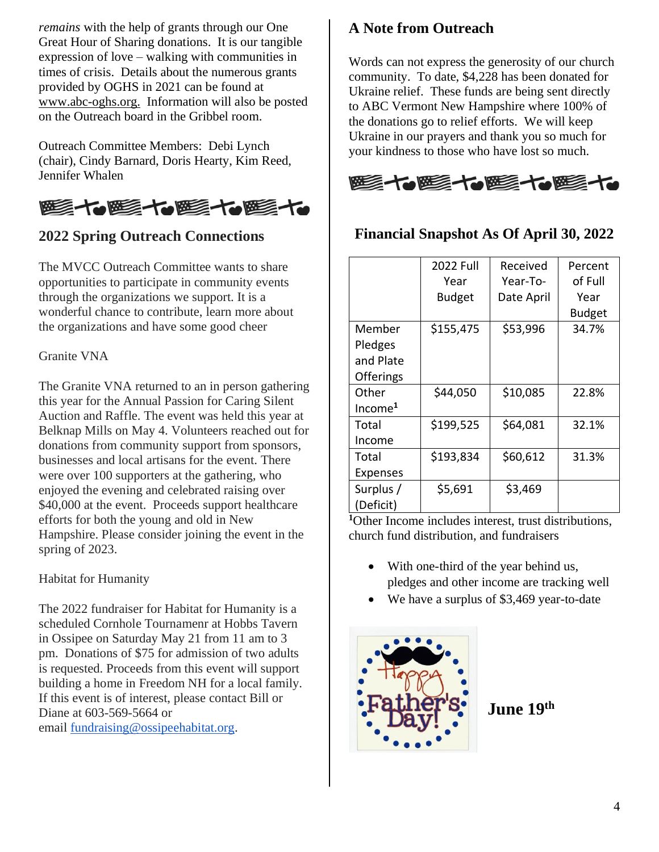*remains* with the help of grants through our One Great Hour of Sharing donations. It is our tangible expression of love – walking with communities in times of crisis. Details about the numerous grants provided by OGHS in 2021 can be found at www.abc-oghs.org. Information will also be posted on the Outreach board in the Gribbel room.

Outreach Committee Members: Debi Lynch (chair), Cindy Barnard, Doris Hearty, Kim Reed, Jennifer Whalen



# **2022 Spring Outreach Connections**

The MVCC Outreach Committee wants to share opportunities to participate in community events through the organizations we support. It is a wonderful chance to contribute, learn more about the organizations and have some good cheer

#### Granite VNA

The Granite VNA returned to an in person gathering this year for the Annual Passion for Caring Silent Auction and Raffle. The event was held this year at Belknap Mills on May 4. Volunteers reached out for donations from community support from sponsors, businesses and local artisans for the event. There were over 100 supporters at the gathering, who enjoyed the evening and celebrated raising over \$40,000 at the event. Proceeds support healthcare efforts for both the young and old in New Hampshire. Please consider joining the event in the spring of 2023.

#### Habitat for Humanity

The 2022 fundraiser for Habitat for Humanity is a scheduled Cornhole Tournamenr at Hobbs Tavern in Ossipee on Saturday May 21 from 11 am to 3 pm. Donations of \$75 for admission of two adults is requested. Proceeds from this event will support building a home in Freedom NH for a local family. If this event is of interest, please contact Bill or Diane at 603-569-5664 or email [fundraising@ossipeehabitat.org.](mailto:fundraising@ossipeehabitat.org)

### **A Note from Outreach**

Words can not express the generosity of our church community. To date, \$4,228 has been donated for Ukraine relief. These funds are being sent directly to ABC Vermont New Hampshire where 100% of the donations go to relief efforts. We will keep Ukraine in our prayers and thank you so much for your kindness to those who have lost so much.



### **Financial Snapshot As Of April 30, 2022**

|                                             | <b>2022 Full</b><br>Year<br><b>Budget</b> | Received<br>Year-To-<br>Date April | Percent<br>of Full<br>Year<br><b>Budget</b> |
|---------------------------------------------|-------------------------------------------|------------------------------------|---------------------------------------------|
| Member<br>Pledges<br>and Plate<br>Offerings | \$155,475                                 | \$53,996                           | 34.7%                                       |
| Other<br>Income <sup>1</sup>                | \$44,050                                  | \$10,085                           | 22.8%                                       |
| Total<br>Income                             | \$199,525                                 | \$64,081                           | 32.1%                                       |
| Total<br><b>Expenses</b>                    | \$193,834                                 | \$60,612                           | 31.3%                                       |
| Surplus /<br>(Deficit)                      | \$5,691                                   | \$3,469                            |                                             |

**<sup>1</sup>**Other Income includes interest, trust distributions, church fund distribution, and fundraisers

- With one-third of the year behind us, pledges and other income are tracking well
- We have a surplus of \$3,469 year-to-date



**June 19 th**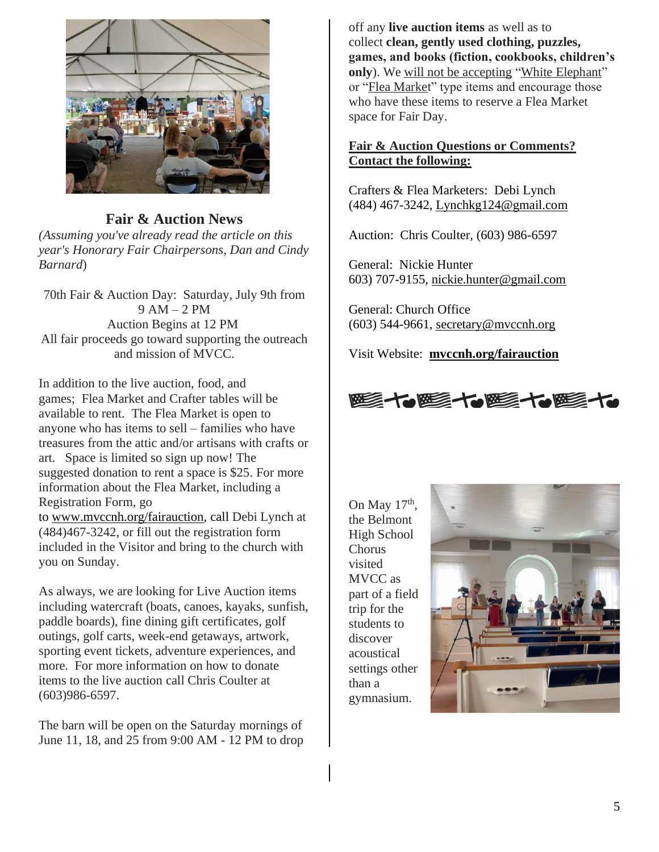

### **Fair & Auction News**

*(Assuming you've already read the article on this year's Honorary Fair Chairpersons, Dan and Cindy Barnard*)

70th Fair & Auction Day: Saturday, July 9th from  $9 AM - 2 PM$ Auction Begins at 12 PM All fair proceeds go toward supporting the outreach and mission of MVCC.

In addition to the live auction, food, and games; Flea Market and Crafter tables will be available to rent. The Flea Market is open to anyone who has items to sell – families who have treasures from the attic and/or artisans with crafts or art. Space is limited so sign up now! The suggested donation to rent a space is \$25. For more information about the Flea Market, including a Registration Form, go to [www.mvccnh.org/fairauction,](http://www.mvccnh.org/fairauction) call Debi Lynch at (484)467-3242, or fill out the registration form included in the Visitor and bring to the church with you on Sunday.

As always, we are looking for Live Auction items including watercraft (boats, canoes, kayaks, sunfish, paddle boards), fine dining gift certificates, golf outings, golf carts, week-end getaways, artwork, sporting event tickets, adventure experiences, and more. For more information on how to donate items to the live auction call Chris Coulter at (603)986-6597.

The barn will be open on the Saturday mornings of June 11, 18, and 25 from 9:00 AM - 12 PM to drop off any **live auction items** as well as to collect **clean, gently used clothing, puzzles, games, and books (fiction, cookbooks, children's only**). We will not be accepting "White Elephant" or "Flea Market" type items and encourage those who have these items to reserve a Flea Market space for Fair Day.

### **Fair & Auction Questions or Comments? Contact the following:**

Crafters & Flea Marketers: Debi Lynch (484) 467-3242, [Lynchkg124@gmail.com](mailto:Lynchkg124@gmail.com)

Auction: Chris Coulter, (603) 986-6597

General: Nickie Hunter 603) 707-9155, [nickie.hunter@gmail.com](mailto:nickie.hunter@gmail.com)

General: Church Office (603) 544-9661, [secretary@mvccnh.org](mailto:secretary@mvccnh.org)

Visit Website: **[mvccnh.org/fairauction](http://mvccnh.org/fairauction)**



On May  $17<sup>th</sup>$ , the Belmont High School Chorus visited MVCC as part of a field trip for the students to discover acoustical settings other than a gymnasium.

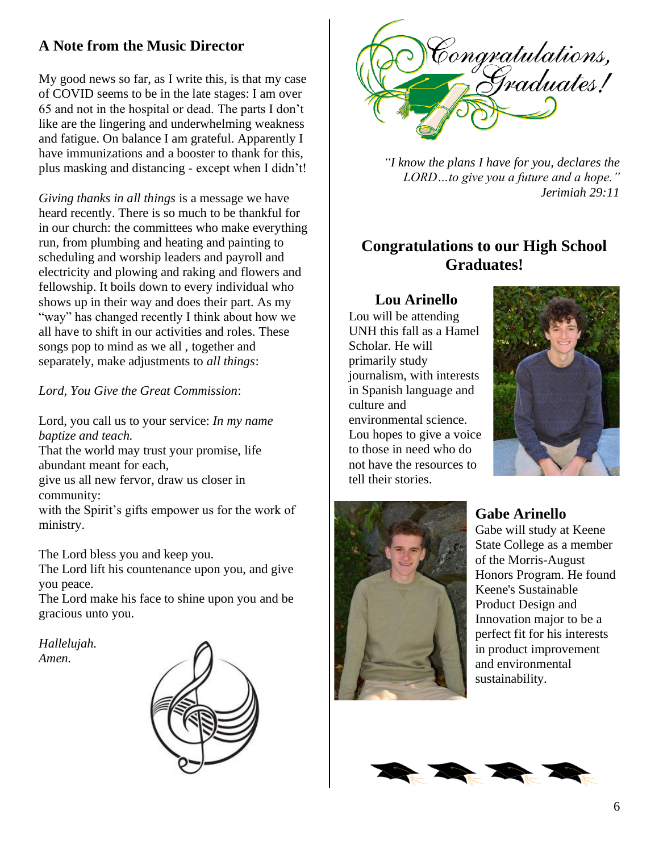# **A Note from the Music Director**

My good news so far, as I write this, is that my case of COVID seems to be in the late stages: I am over 65 and not in the hospital or dead. The parts I don't like are the lingering and underwhelming weakness and fatigue. On balance I am grateful. Apparently I have immunizations and a booster to thank for this, plus masking and distancing - except when I didn't!

*Giving thanks in all things* is a message we have heard recently. There is so much to be thankful for in our church: the committees who make everything run, from plumbing and heating and painting to scheduling and worship leaders and payroll and electricity and plowing and raking and flowers and fellowship. It boils down to every individual who shows up in their way and does their part. As my "way" has changed recently I think about how we all have to shift in our activities and roles. These songs pop to mind as we all , together and separately, make adjustments to *all things*:

*Lord, You Give the Great Commission*:

Lord, you call us to your service: *In my name baptize and teach.*

That the world may trust your promise, life abundant meant for each,

give us all new fervor, draw us closer in community:

with the Spirit's gifts empower us for the work of ministry.

The Lord bless you and keep you.

The Lord lift his countenance upon you, and give you peace.

The Lord make his face to shine upon you and be gracious unto you.

*Hallelujah. Amen.*





*"I know the plans I have for you, declares the LORD…to give you a future and a hope." Jerimiah 29:11*

# **Congratulations to our High School Graduates!**

### **Lou Arinello**

Lou will be attending UNH this fall as a Hamel Scholar. He will primarily study journalism, with interests in Spanish language and culture and environmental science. Lou hopes to give a voice to those in need who do not have the resources to tell their stories.





# **Gabe Arinello**

Gabe will study at Keene State College as a member of the Morris-August Honors Program. He found Keene's Sustainable Product Design and Innovation major to be a perfect fit for his interests in product improvement and environmental sustainability.

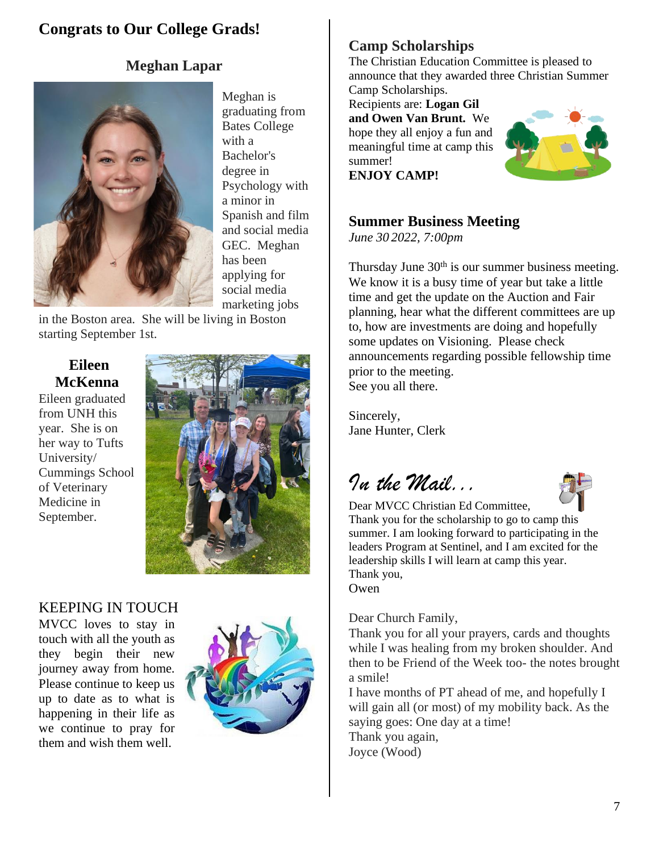# **Congrats to Our College Grads!**

## **Meghan Lapar**



Meghan is graduating from Bates College with a Bachelor's degree in Psychology with a minor in Spanish and film and social media GEC. Meghan has been applying for social media marketing jobs

in the Boston area. She will be living in Boston starting September 1st.

# **Eileen McKenna**

Eileen graduated from UNH this year. She is on her way to Tufts University/ Cummings School of Veterinary Medicine in September.



## KEEPING IN TOUCH

MVCC loves to stay in touch with all the youth as they begin their new journey away from home. Please continue to keep us up to date as to what is happening in their life as we continue to pray for them and wish them well.



# **Camp Scholarships**

The Christian Education Committee is pleased to announce that they awarded three Christian Summer Camp Scholarships.

Recipients are: **Logan Gil and Owen Van Brunt.** We hope they all enjoy a fun and meaningful time at camp this summer! **ENJOY CAMP!**



### **Summer Business Meeting**

*June 30 2022, 7:00pm*

Thursday June  $30<sup>th</sup>$  is our summer business meeting. We know it is a busy time of year but take a little time and get the update on the Auction and Fair planning, hear what the different committees are up to, how are investments are doing and hopefully some updates on Visioning. Please check announcements regarding possible fellowship time prior to the meeting. See you all there.

Sincerely, Jane Hunter, Clerk

*In the Mail...*



Dear MVCC Christian Ed Committee, Thank you for the scholarship to go to camp this summer. I am looking forward to participating in the leaders Program at Sentinel, and I am excited for the leadership skills I will learn at camp this year. Thank you, Owen

Dear Church Family,

Thank you for all your prayers, cards and thoughts while I was healing from my broken shoulder. And then to be Friend of the Week too- the notes brought a smile!

I have months of PT ahead of me, and hopefully I will gain all (or most) of my mobility back. As the saying goes: One day at a time! Thank you again, Joyce (Wood)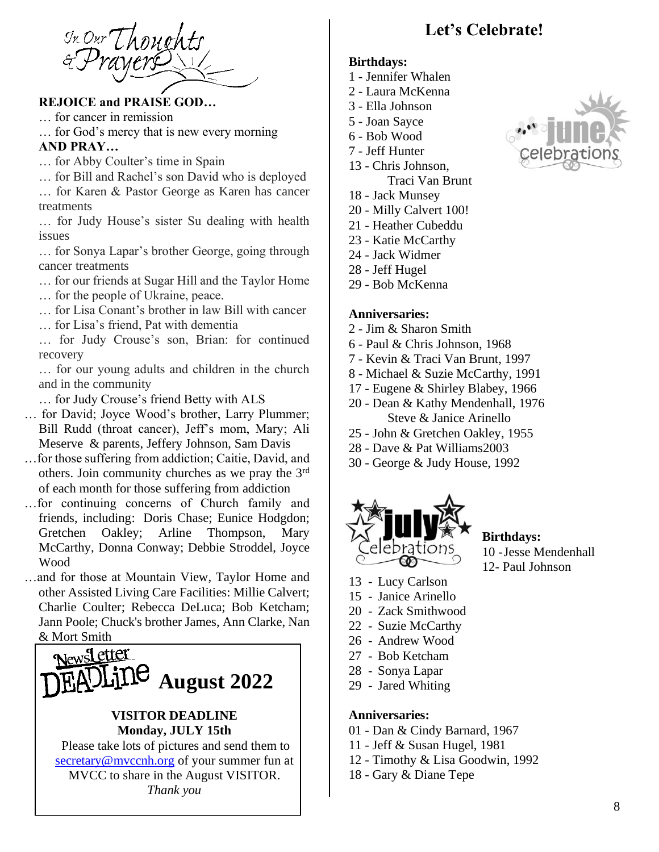In Our Thoughts

### **REJOICE and PRAISE GOD…**

… for cancer in remission

… for God's mercy that is new every morning **AND PRAY…**

- … for Abby Coulter's time in Spain
- … for Bill and Rachel's son David who is deployed
- … for Karen & Pastor George as Karen has cancer treatments

… for Judy House's sister Su dealing with health issues

… for Sonya Lapar's brother George, going through cancer treatments

… for our friends at Sugar Hill and the Taylor Home

- … for the people of Ukraine, peace.
- … for Lisa Conant's brother in law Bill with cancer
- … for Lisa's friend, Pat with dementia

… for Judy Crouse's son, Brian: for continued recovery

… for our young adults and children in the church and in the community

- … for Judy Crouse's friend Betty with ALS
- … for David; Joyce Wood's brother, Larry Plummer; Bill Rudd (throat cancer), Jeff's mom, Mary; Ali Meserve & parents, Jeffery Johnson, Sam Davis
- …for those suffering from addiction; Caitie, David, and others. Join community churches as we pray the 3rd of each month for those suffering from addiction
- …for continuing concerns of Church family and friends, including: Doris Chase; Eunice Hodgdon; Gretchen Oakley; Arline Thompson, Mary McCarthy, Donna Conway; Debbie Stroddel, Joyce Wood
- …and for those at Mountain View, Taylor Home and other Assisted Living Care Facilities: Millie Calvert; Charlie Coulter; Rebecca DeLuca; Bob Ketcham; Jann Poole; Chuck's brother James, Ann Clarke, Nan & Mort Smith



Please take lots of pictures and send them to [secretary@mvccnh.org](mailto:secretary@mvccnh.org) of your summer fun at MVCC to share in the August VISITOR. *Thank you*

# **Let's Celebrate!**

#### **Birthdays:**

- 1 Jennifer Whalen
- 2 Laura McKenna
- 3 Ella Johnson
- 5 Joan Sayce
- 6 Bob Wood
- 7 Jeff Hunter
- 13 Chris Johnson, Traci Van Brunt
- 18 Jack Munsey
- 20 Milly Calvert 100!
- 21 Heather Cubeddu
- 23 Katie McCarthy
- 24 Jack Widmer
- 28 Jeff Hugel
- 29 Bob McKenna

#### **Anniversaries:**

- 2 Jim & Sharon Smith
- 6 Paul & Chris Johnson, 1968
- 7 Kevin & Traci Van Brunt, 1997
- 8 Michael & Suzie McCarthy, 1991
- 17 Eugene & Shirley Blabey, 1966
- 20 Dean & Kathy Mendenhall, 1976 Steve & Janice Arinello
- 25 John & Gretchen Oakley, 1955
- 28 Dave & Pat Williams2003
- 30 George & Judy House, 1992



#### **Birthdays:** 10 -Jesse Mendenhall

- 12- Paul Johnson
- 13 Lucy Carlson
- 15 Janice Arinello
- 20 Zack Smithwood
- 22 Suzie McCarthy
- 26 Andrew Wood
- 27 Bob Ketcham
- 28 Sonya Lapar
- 29 Jared Whiting

#### **Anniversaries:**

- 01 Dan & Cindy Barnard, 1967
- 11 Jeff & Susan Hugel, 1981
- 12 Timothy & Lisa Goodwin, 1992
- 18 Gary & Diane Tepe